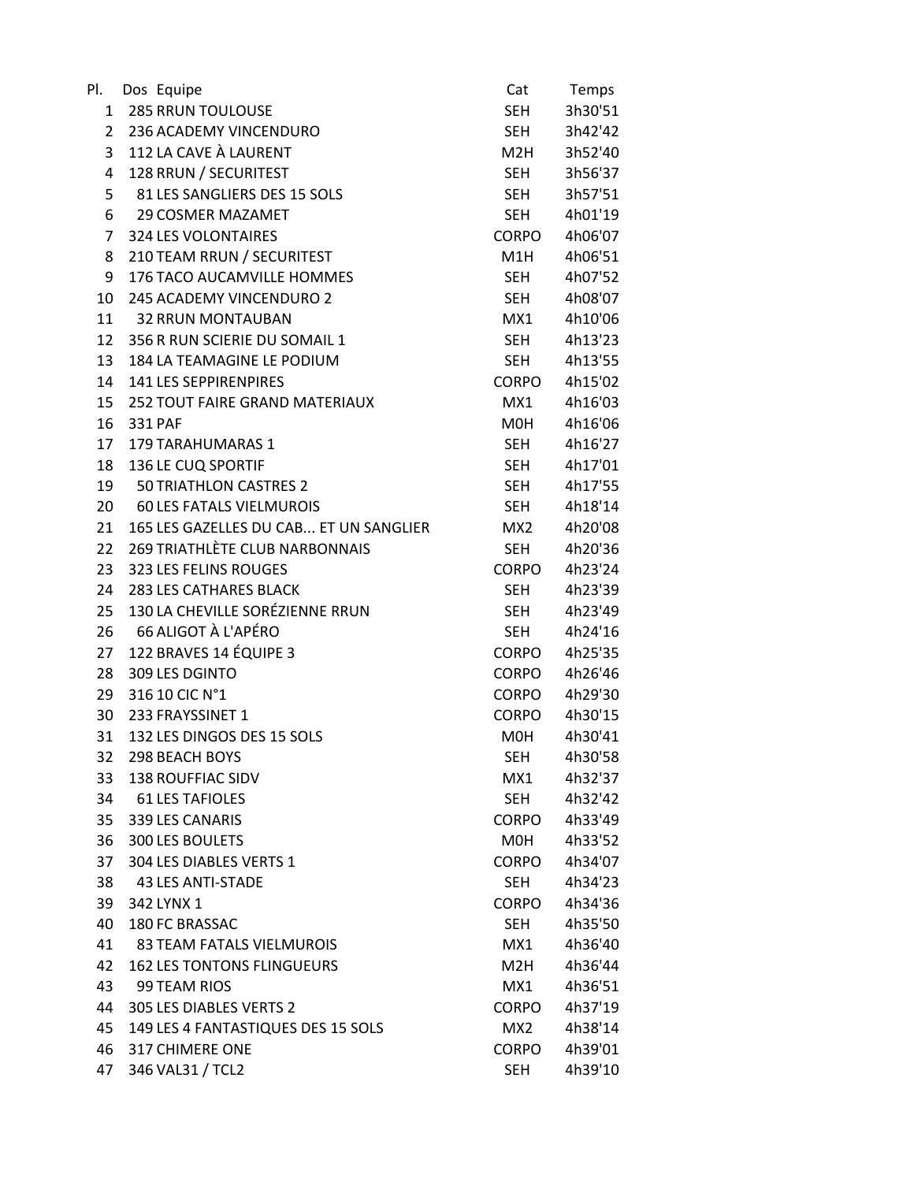| PI.            | Dos Equipe                             | Cat              | Temps   |
|----------------|----------------------------------------|------------------|---------|
| 1              | <b>285 RRUN TOULOUSE</b>               | <b>SEH</b>       | 3h30'51 |
| $\overline{2}$ | 236 ACADEMY VINCENDURO                 | <b>SEH</b>       | 3h42'42 |
| 3              | 112 LA CAVE À LAURENT                  | M2H              | 3h52'40 |
| 4              | 128 RRUN / SECURITEST                  | <b>SEH</b>       | 3h56'37 |
| 5              | 81 LES SANGLIERS DES 15 SOLS           | <b>SEH</b>       | 3h57'51 |
| 6              | <b>29 COSMER MAZAMET</b>               | <b>SEH</b>       | 4h01'19 |
| 7              | <b>324 LES VOLONTAIRES</b>             | CORPO            | 4h06'07 |
| 8              | 210 TEAM RRUN / SECURITEST             | M1H              | 4h06'51 |
| 9              | 176 TACO AUCAMVILLE HOMMES             | <b>SEH</b>       | 4h07'52 |
| 10             | 245 ACADEMY VINCENDURO 2               | <b>SEH</b>       | 4h08'07 |
| 11             | <b>32 RRUN MONTAUBAN</b>               | MX1              | 4h10'06 |
| 12             | 356 R RUN SCIERIE DU SOMAIL 1          | <b>SEH</b>       | 4h13'23 |
| 13             | 184 LA TEAMAGINE LE PODIUM             | <b>SEH</b>       | 4h13'55 |
| 14             | <b>141 LES SEPPIRENPIRES</b>           | CORPO            | 4h15'02 |
| 15             | <b>252 TOUT FAIRE GRAND MATERIAUX</b>  | MX1              | 4h16'03 |
| 16             | 331 PAF                                | M0H              | 4h16'06 |
| 17             | 179 TARAHUMARAS 1                      | SEH              | 4h16'27 |
| 18             | 136 LE CUQ SPORTIF                     | <b>SEH</b>       | 4h17'01 |
| 19             | <b>50 TRIATHLON CASTRES 2</b>          | <b>SEH</b>       | 4h17'55 |
| 20             | 60 LES FATALS VIELMUROIS               | <b>SEH</b>       | 4h18'14 |
| 21             | 165 LES GAZELLES DU CAB ET UN SANGLIER | MX <sub>2</sub>  | 4h20'08 |
| 22             | <b>269 TRIATHLÈTE CLUB NARBONNAIS</b>  | <b>SEH</b>       | 4h20'36 |
| 23             | 323 LES FELINS ROUGES                  | <b>CORPO</b>     | 4h23'24 |
| 24             | <b>283 LES CATHARES BLACK</b>          | SEH              | 4h23'39 |
| 25             | 130 LA CHEVILLE SORÉZIENNE RRUN        | <b>SEH</b>       | 4h23'49 |
| 26             | 66 ALIGOT À L'APÉRO                    | <b>SEH</b>       | 4h24'16 |
| 27             | 122 BRAVES 14 ÉQUIPE 3                 | <b>CORPO</b>     | 4h25'35 |
| 28             | 309 LES DGINTO                         | <b>CORPO</b>     | 4h26'46 |
| 29             | 316 10 CIC N°1                         | <b>CORPO</b>     | 4h29'30 |
| 30             | 233 FRAYSSINET 1                       | CORPO            | 4h30'15 |
| 31             | 132 LES DINGOS DES 15 SOLS             | M0H              | 4h30'41 |
| 32             | <b>298 BEACH BOYS</b>                  | <b>SEH</b>       | 4h30'58 |
| 33             | <b>138 ROUFFIAC SIDV</b>               | MX1              | 4h32'37 |
| 34             | <b>61 LES TAFIOLES</b>                 | <b>SEH</b>       | 4h32'42 |
| 35             | 339 LES CANARIS                        | <b>CORPO</b>     | 4h33'49 |
| 36             | 300 LES BOULETS                        | M0H              | 4h33'52 |
| 37             | 304 LES DIABLES VERTS 1                | <b>CORPO</b>     | 4h34'07 |
| 38             | <b>43 LES ANTI-STADE</b>               | <b>SEH</b>       | 4h34'23 |
| 39             | 342 LYNX 1                             | <b>CORPO</b>     | 4h34'36 |
| 40             | 180 FC BRASSAC                         | <b>SEH</b>       | 4h35'50 |
| 41             | <b>83 TEAM FATALS VIELMUROIS</b>       | MX1              | 4h36'40 |
| 42             | <b>162 LES TONTONS FLINGUEURS</b>      | M <sub>2</sub> H | 4h36'44 |
| 43             | 99 TEAM RIOS                           | MX1              | 4h36'51 |
| 44             | 305 LES DIABLES VERTS 2                | <b>CORPO</b>     | 4h37'19 |
| 45             | 149 LES 4 FANTASTIQUES DES 15 SOLS     | MX <sub>2</sub>  | 4h38'14 |
| 46             | 317 CHIMERE ONE                        | <b>CORPO</b>     | 4h39'01 |
| 47             | 346 VAL31 / TCL2                       | <b>SEH</b>       | 4h39'10 |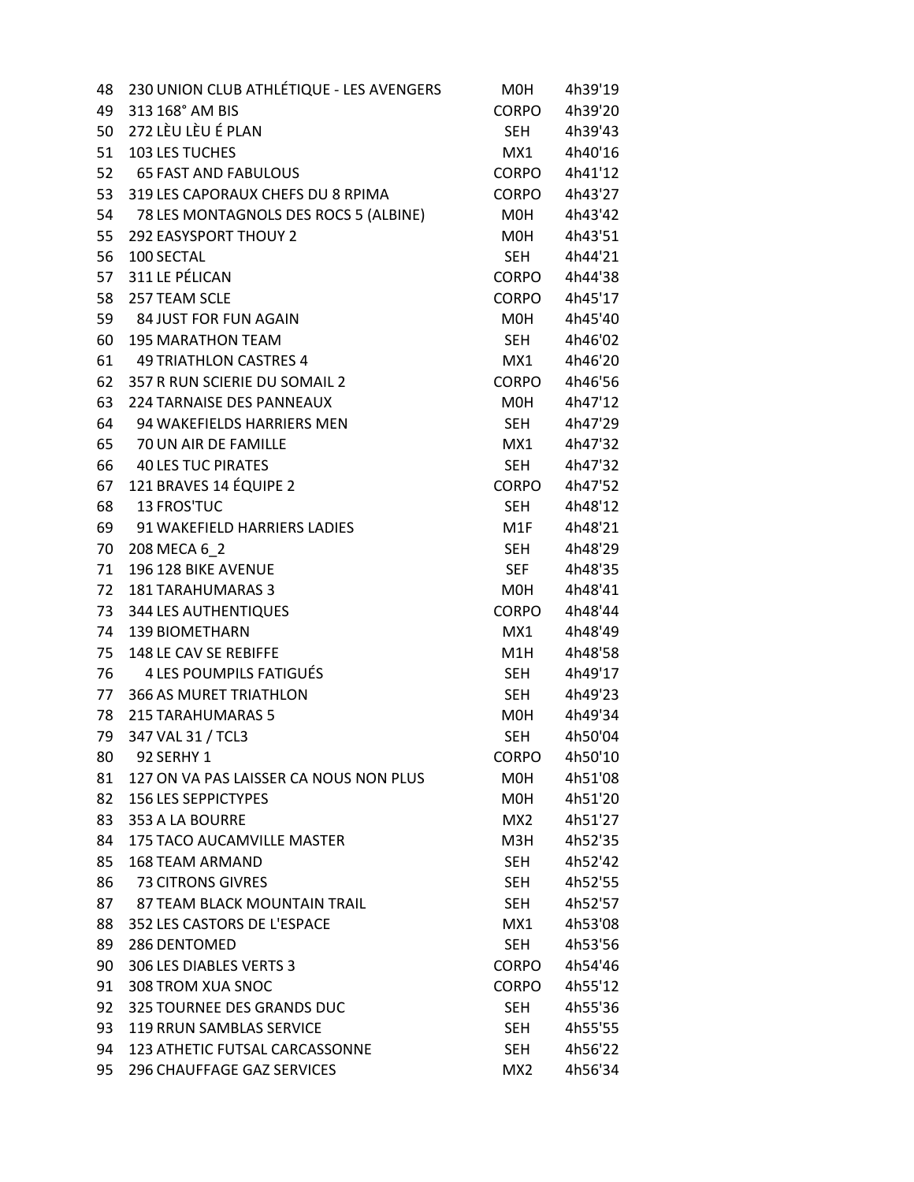| 48 | 230 UNION CLUB ATHLÉTIQUE - LES AVENGERS | M <sub>O</sub> H | 4h39'19 |
|----|------------------------------------------|------------------|---------|
| 49 | 313 168° AM BIS                          | <b>CORPO</b>     | 4h39'20 |
| 50 | 272 LÈU LÈU É PLAN                       | SEH              | 4h39'43 |
| 51 | 103 LES TUCHES                           | MX1              | 4h40'16 |
| 52 | <b>65 FAST AND FABULOUS</b>              | <b>CORPO</b>     | 4h41'12 |
| 53 | 319 LES CAPORAUX CHEFS DU 8 RPIMA        | <b>CORPO</b>     | 4h43'27 |
| 54 | 78 LES MONTAGNOLS DES ROCS 5 (ALBINE)    | M0H              | 4h43'42 |
| 55 | <b>292 EASYSPORT THOUY 2</b>             | M0H              | 4h43'51 |
| 56 | 100 SECTAL                               | <b>SEH</b>       | 4h44'21 |
| 57 | 311 LE PÉLICAN                           | <b>CORPO</b>     | 4h44'38 |
| 58 | 257 TEAM SCLE                            | <b>CORPO</b>     | 4h45'17 |
| 59 | 84 JUST FOR FUN AGAIN                    | M0H              | 4h45'40 |
| 60 | <b>195 MARATHON TEAM</b>                 | SEH              | 4h46'02 |
| 61 | <b>49 TRIATHLON CASTRES 4</b>            | MX1              | 4h46'20 |
| 62 | 357 R RUN SCIERIE DU SOMAIL 2            | CORPO            | 4h46'56 |
| 63 | 224 TARNAISE DES PANNEAUX                | M0H              | 4h47'12 |
| 64 | 94 WAKEFIELDS HARRIERS MEN               | <b>SEH</b>       | 4h47'29 |
| 65 | 70 UN AIR DE FAMILLE                     | MX1              | 4h47'32 |
| 66 | <b>40 LES TUC PIRATES</b>                | SEH              | 4h47'32 |
| 67 | 121 BRAVES 14 ÉQUIPE 2                   | CORPO            | 4h47'52 |
| 68 | <b>13 FROS'TUC</b>                       | SEH              | 4h48'12 |
|    | 91 WAKEFIELD HARRIERS LADIES             |                  | 4h48'21 |
| 69 |                                          | M1F              |         |
| 70 | 208 MECA 6 2                             | <b>SEH</b>       | 4h48'29 |
| 71 | 196 128 BIKE AVENUE                      | <b>SEF</b>       | 4h48'35 |
| 72 | <b>181 TARAHUMARAS 3</b>                 | MOH              | 4h48'41 |
| 73 | <b>344 LES AUTHENTIQUES</b>              | <b>CORPO</b>     | 4h48'44 |
| 74 | <b>139 BIOMETHARN</b>                    | MX1              | 4h48'49 |
| 75 | 148 LE CAV SE REBIFFE                    | M1H              | 4h48'58 |
| 76 | 4 LES POUMPILS FATIGUÉS                  | <b>SEH</b>       | 4h49'17 |
| 77 | <b>366 AS MURET TRIATHLON</b>            | <b>SEH</b>       | 4h49'23 |
| 78 | <b>215 TARAHUMARAS 5</b>                 | M0H              | 4h49'34 |
| 79 | 347 VAL 31 / TCL3                        | <b>SEH</b>       | 4h50'04 |
| 80 | 92 SERHY 1                               | <b>CORPO</b>     | 4h50'10 |
| 81 | 127 ON VA PAS LAISSER CA NOUS NON PLUS   | M0H              | 4h51'08 |
| 82 | <b>156 LES SEPPICTYPES</b>               | MOH              | 4h51'20 |
| 83 | 353 A LA BOURRE                          | MX2              | 4h51'27 |
| 84 | <b>175 TACO AUCAMVILLE MASTER</b>        | M3H              | 4h52'35 |
| 85 | <b>168 TEAM ARMAND</b>                   | <b>SEH</b>       | 4h52'42 |
| 86 | <b>73 CITRONS GIVRES</b>                 | <b>SEH</b>       | 4h52'55 |
| 87 | 87 TEAM BLACK MOUNTAIN TRAIL             | SEH.             | 4h52'57 |
| 88 | 352 LES CASTORS DE L'ESPACE              | MX1              | 4h53'08 |
| 89 | 286 DENTOMED                             | <b>SEH</b>       | 4h53'56 |
| 90 | 306 LES DIABLES VERTS 3                  | <b>CORPO</b>     | 4h54'46 |
| 91 | 308 TROM XUA SNOC                        | <b>CORPO</b>     | 4h55'12 |
| 92 | 325 TOURNEE DES GRANDS DUC               | SEH              | 4h55'36 |
| 93 | 119 RRUN SAMBLAS SERVICE                 | SEH              | 4h55'55 |
| 94 | 123 ATHETIC FUTSAL CARCASSONNE           | SEH              | 4h56'22 |
| 95 | 296 CHAUFFAGE GAZ SERVICES               | MX <sub>2</sub>  | 4h56'34 |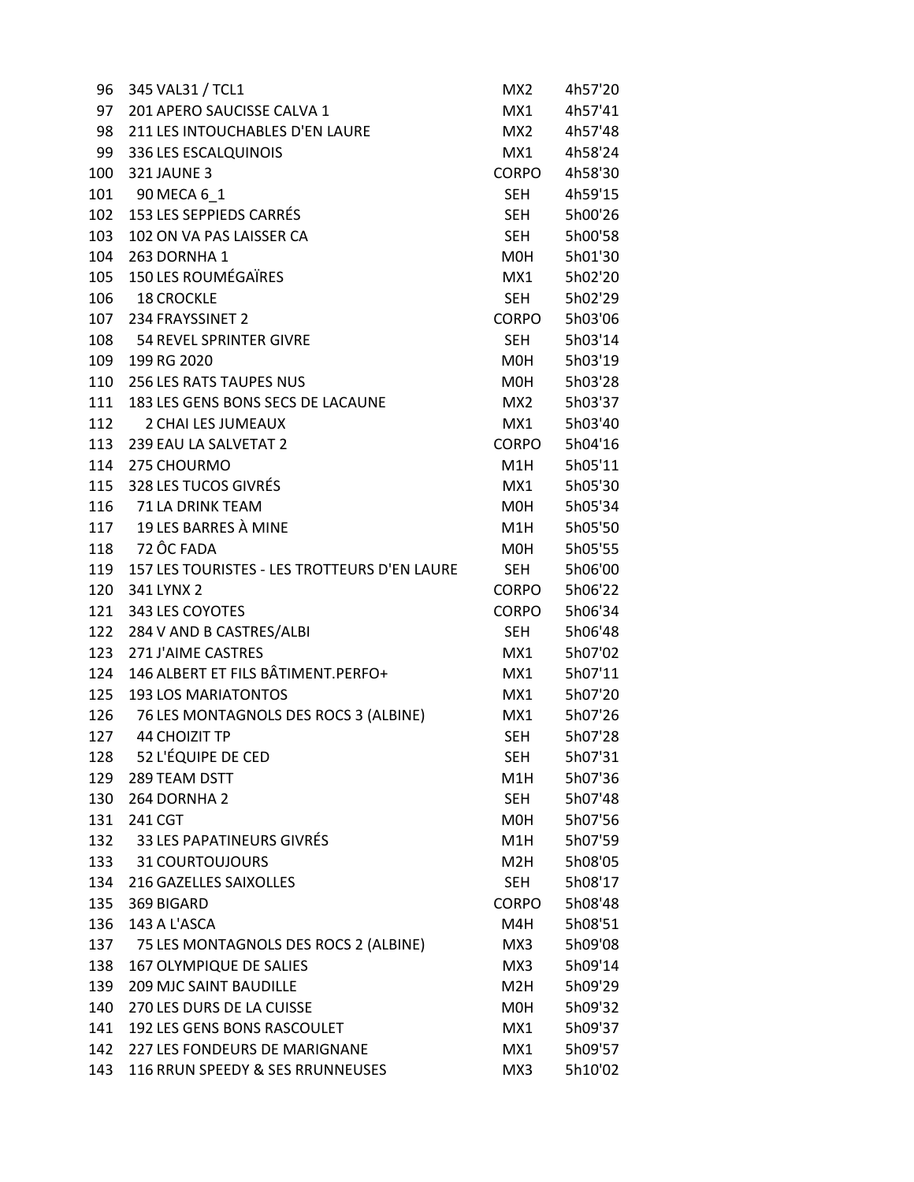| 96  | 345 VAL31 / TCL1                             | MX <sub>2</sub>  | 4h57'20 |
|-----|----------------------------------------------|------------------|---------|
| 97  | 201 APERO SAUCISSE CALVA 1                   | MX1              | 4h57'41 |
| 98  | 211 LES INTOUCHABLES D'EN LAURE              | MX2              | 4h57'48 |
| 99  | 336 LES ESCALQUINOIS                         | MX1              | 4h58'24 |
| 100 | <b>321 JAUNE 3</b>                           | CORPO            | 4h58'30 |
| 101 | 90 MECA 6 1                                  | SEH              | 4h59'15 |
| 102 | 153 LES SEPPIEDS CARRÉS                      | <b>SEH</b>       | 5h00'26 |
| 103 | 102 ON VA PAS LAISSER CA                     | <b>SEH</b>       | 5h00'58 |
| 104 | 263 DORNHA 1                                 | M0H              | 5h01'30 |
| 105 | <b>150 LES ROUMÉGAÏRES</b>                   | MX1              | 5h02'20 |
| 106 | <b>18 CROCKLE</b>                            | <b>SEH</b>       | 5h02'29 |
| 107 | 234 FRAYSSINET 2                             | CORPO            | 5h03'06 |
| 108 | 54 REVEL SPRINTER GIVRE                      | SEH              | 5h03'14 |
| 109 | 199 RG 2020                                  | M0H              | 5h03'19 |
| 110 | 256 LES RATS TAUPES NUS                      | M0H              | 5h03'28 |
| 111 | 183 LES GENS BONS SECS DE LACAUNE            | MX2              | 5h03'37 |
| 112 | 2 CHAI LES JUMEAUX                           | MX1              | 5h03'40 |
| 113 | 239 EAU LA SALVETAT 2                        | CORPO            | 5h04'16 |
| 114 | 275 CHOURMO                                  | M1H              | 5h05'11 |
| 115 | 328 LES TUCOS GIVRÉS                         | MX1              | 5h05'30 |
|     | 116 71 LA DRINK TEAM                         | M0H              | 5h05'34 |
|     | 117 19 LES BARRES À MINE                     | M1H              | 5h05'50 |
| 118 | 72 ÔC FADA                                   | M0H              | 5h05'55 |
| 119 | 157 LES TOURISTES - LES TROTTEURS D'EN LAURE | <b>SEH</b>       | 5h06'00 |
| 120 | 341 LYNX 2                                   | <b>CORPO</b>     | 5h06'22 |
| 121 | 343 LES COYOTES                              | <b>CORPO</b>     | 5h06'34 |
| 122 | 284 V AND B CASTRES/ALBI                     | SEH              | 5h06'48 |
| 123 | 271 J'AIME CASTRES                           | MX1              | 5h07'02 |
| 124 | 146 ALBERT ET FILS BÂTIMENT.PERFO+           | MX1              | 5h07'11 |
| 125 | <b>193 LOS MARIATONTOS</b>                   | MX1              | 5h07'20 |
| 126 | 76 LES MONTAGNOLS DES ROCS 3 (ALBINE)        | MX1              | 5h07'26 |
| 127 | <b>44 CHOIZIT TP</b>                         | <b>SEH</b>       | 5h07'28 |
| 128 | 52 L'ÉQUIPE DE CED                           | <b>SEH</b>       | 5h07'31 |
| 129 | 289 TEAM DSTT                                | M1H              | 5h07'36 |
| 130 | 264 DORNHA 2                                 | <b>SEH</b>       | 5h07'48 |
| 131 | 241 CGT                                      | M0H              | 5h07'56 |
| 132 | 33 LES PAPATINEURS GIVRÉS                    | M1H              | 5h07'59 |
| 133 | <b>31 COURTOUJOURS</b>                       | M2H              | 5h08'05 |
| 134 | 216 GAZELLES SAIXOLLES                       | <b>SEH</b>       | 5h08'17 |
| 135 | 369 BIGARD                                   | <b>CORPO</b>     | 5h08'48 |
| 136 | 143 A L'ASCA                                 | M4H              | 5h08'51 |
| 137 | 75 LES MONTAGNOLS DES ROCS 2 (ALBINE)        | MX3              | 5h09'08 |
| 138 | 167 OLYMPIQUE DE SALIES                      | MX3              | 5h09'14 |
| 139 | <b>209 MJC SAINT BAUDILLE</b>                | M <sub>2</sub> H | 5h09'29 |
| 140 | 270 LES DURS DE LA CUISSE                    | M0H              | 5h09'32 |
| 141 | 192 LES GENS BONS RASCOULET                  | MX1              | 5h09'37 |
| 142 | 227 LES FONDEURS DE MARIGNANE                | MX1              | 5h09'57 |
| 143 | 116 RRUN SPEEDY & SES RRUNNEUSES             | MX3              | 5h10'02 |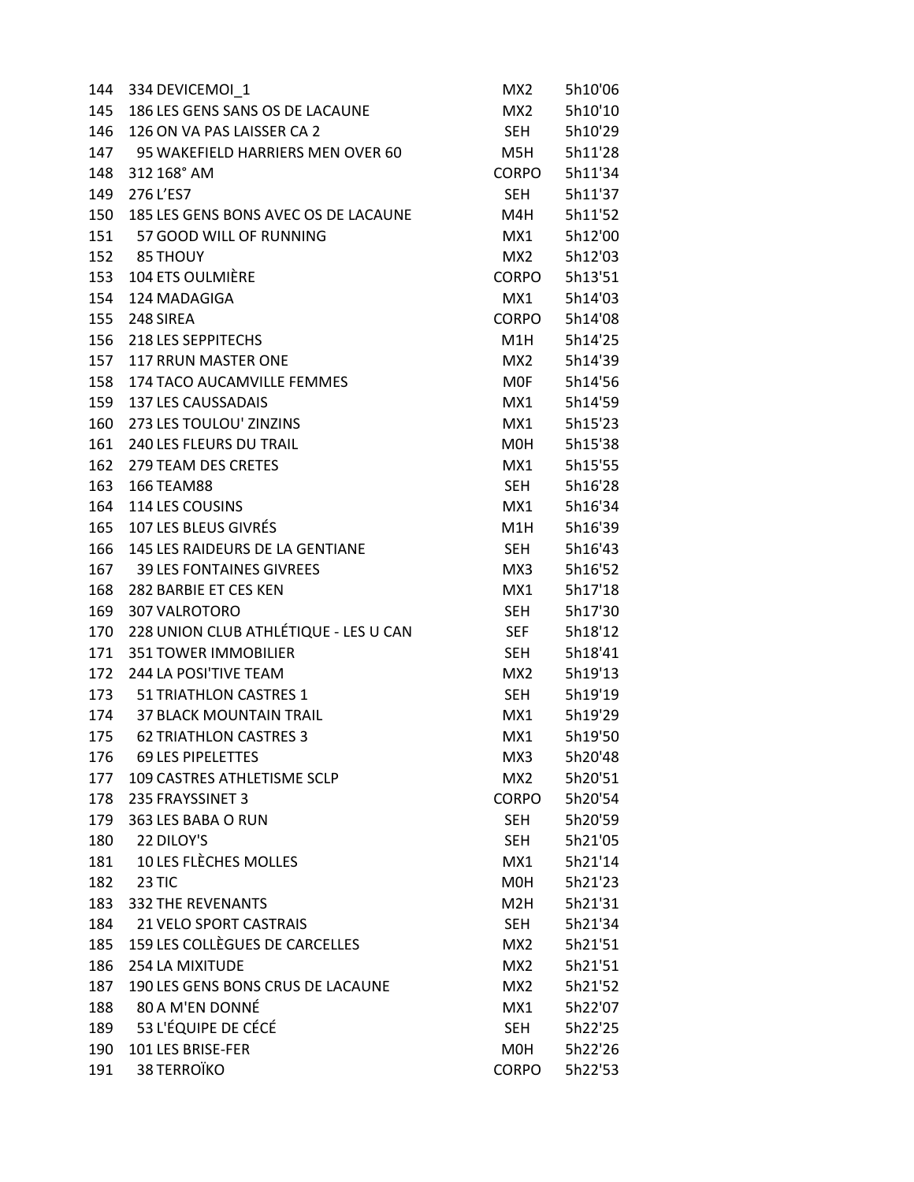| 144 | 334 DEVICEMOI_1                       | MX <sub>2</sub> | 5h10'06 |
|-----|---------------------------------------|-----------------|---------|
| 145 | 186 LES GENS SANS OS DE LACAUNE       | MX2             | 5h10'10 |
| 146 | 126 ON VA PAS LAISSER CA 2            | SEH             | 5h10'29 |
| 147 | 95 WAKEFIELD HARRIERS MEN OVER 60     | M5H             | 5h11'28 |
| 148 | 312 168° AM                           | CORPO           | 5h11'34 |
| 149 | 276 L'ES7                             | <b>SEH</b>      | 5h11'37 |
| 150 | 185 LES GENS BONS AVEC OS DE LACAUNE  | M4H             | 5h11'52 |
| 151 | 57 GOOD WILL OF RUNNING               | MX1             | 5h12'00 |
|     | 152 85 THOUY                          | MX2             | 5h12'03 |
| 153 | 104 ETS OULMIÈRE                      | <b>CORPO</b>    | 5h13'51 |
| 154 | 124 MADAGIGA                          | MX1             | 5h14'03 |
| 155 | 248 SIREA                             | CORPO           | 5h14'08 |
| 156 | 218 LES SEPPITECHS                    | M1H             | 5h14'25 |
| 157 | 117 RRUN MASTER ONE                   | MX2             | 5h14'39 |
| 158 | 174 TACO AUCAMVILLE FEMMES            | MOF             | 5h14'56 |
| 159 | <b>137 LES CAUSSADAIS</b>             | MX1             | 5h14'59 |
| 160 | 273 LES TOULOU' ZINZINS               | MX1             | 5h15'23 |
| 161 | <b>240 LES FLEURS DU TRAIL</b>        | MOH             | 5h15'38 |
| 162 | 279 TEAM DES CRETES                   | MX1             | 5h15'55 |
| 163 | 166 TEAM88                            | <b>SEH</b>      | 5h16'28 |
| 164 | 114 LES COUSINS                       | MX1             | 5h16'34 |
| 165 | 107 LES BLEUS GIVRÉS                  | M1H             | 5h16'39 |
| 166 | 145 LES RAIDEURS DE LA GENTIANE       | <b>SEH</b>      | 5h16'43 |
| 167 | <b>39 LES FONTAINES GIVREES</b>       | MX3             | 5h16'52 |
| 168 | 282 BARBIE ET CES KEN                 | MX1             | 5h17'18 |
| 169 | 307 VALROTORO                         | SEH             | 5h17'30 |
| 170 | 228 UNION CLUB ATHLÉTIQUE - LES U CAN | <b>SEF</b>      | 5h18'12 |
| 171 | <b>351 TOWER IMMOBILIER</b>           | SEH             | 5h18'41 |
| 172 | 244 LA POSI'TIVE TEAM                 | MX2             | 5h19'13 |
| 173 | 51 TRIATHLON CASTRES 1                | <b>SEH</b>      | 5h19'19 |
| 174 | <b>37 BLACK MOUNTAIN TRAIL</b>        | MX1             | 5h19'29 |
| 175 | <b>62 TRIATHLON CASTRES 3</b>         | MX1             | 5h19'50 |
| 176 | <b>69 LES PIPELETTES</b>              | MX3             | 5h20'48 |
| 177 | 109 CASTRES ATHLETISME SCLP           | MX <sub>2</sub> | 5h20'51 |
| 178 | 235 FRAYSSINET 3                      | <b>CORPO</b>    | 5h20'54 |
| 179 | 363 LES BABA O RUN                    | <b>SEH</b>      | 5h20'59 |
| 180 | 22 DILOY'S                            | <b>SEH</b>      | 5h21'05 |
| 181 | 10 LES FLÈCHES MOLLES                 | MX1             | 5h21'14 |
| 182 | 23 TIC                                | M0H             | 5h21'23 |
| 183 | <b>332 THE REVENANTS</b>              | M2H             | 5h21'31 |
| 184 | <b>21 VELO SPORT CASTRAIS</b>         | SEH             | 5h21'34 |
| 185 | 159 LES COLLÈGUES DE CARCELLES        | MX <sub>2</sub> | 5h21'51 |
| 186 | 254 LA MIXITUDE                       | MX <sub>2</sub> | 5h21'51 |
| 187 | 190 LES GENS BONS CRUS DE LACAUNE     | MX <sub>2</sub> | 5h21'52 |
| 188 | 80 A M'EN DONNÉ                       | MX1             | 5h22'07 |
| 189 | 53 L'ÉQUIPE DE CÉCÉ                   | SEH             | 5h22'25 |
| 190 | 101 LES BRISE-FER                     | M0H             | 5h22'26 |
| 191 | 38 TERROÏKO                           | <b>CORPO</b>    | 5h22'53 |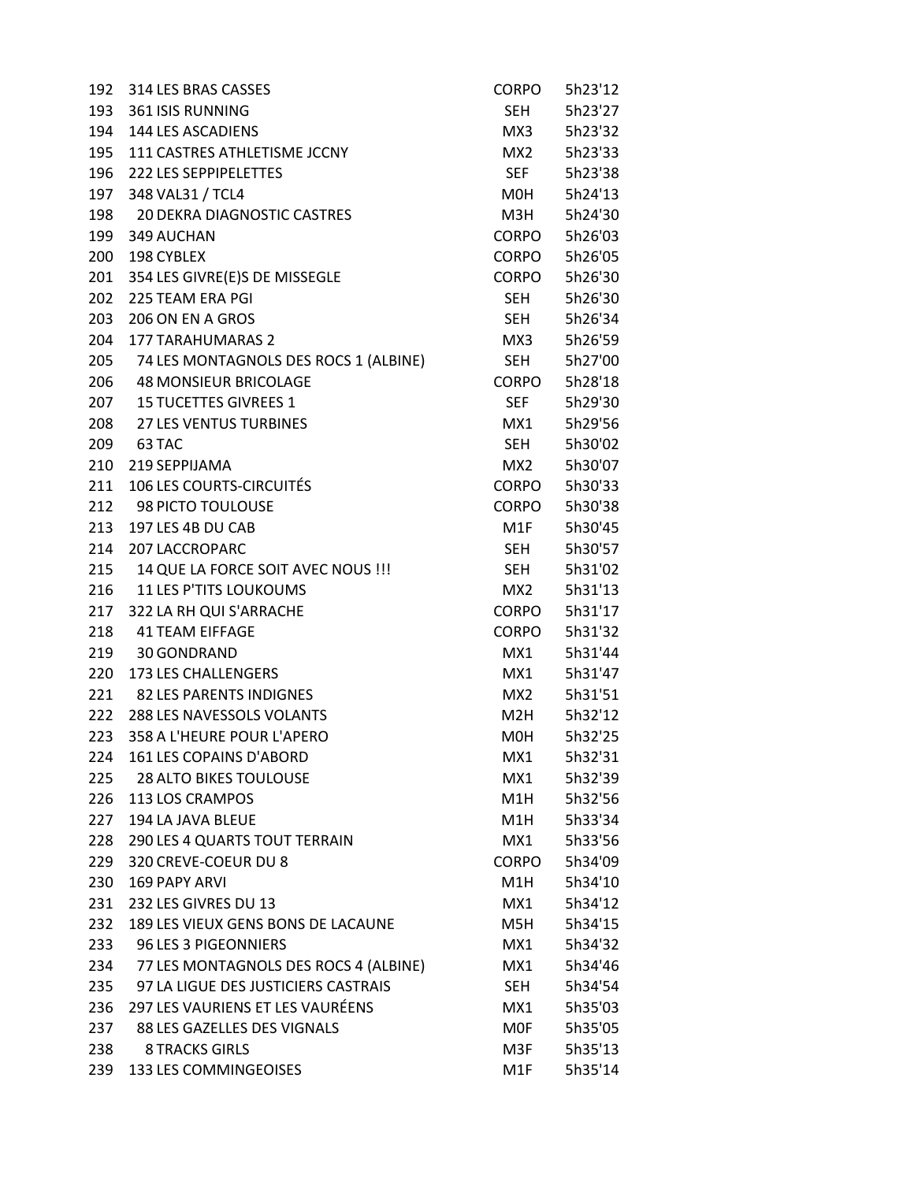| 192 | 314 LES BRAS CASSES                       | <b>CORPO</b>                                                                                                    | 5h23'12 |
|-----|-------------------------------------------|-----------------------------------------------------------------------------------------------------------------|---------|
| 193 | <b>361 ISIS RUNNING</b>                   | SEH                                                                                                             | 5h23'27 |
|     | 194 144 LES ASCADIENS                     | MX3                                                                                                             | 5h23'32 |
|     | 195 111 CASTRES ATHLETISME JCCNY          | MX2                                                                                                             | 5h23'33 |
| 196 | 222 LES SEPPIPELETTES                     | <b>SEF</b>                                                                                                      | 5h23'38 |
| 197 | 348 VAL31 / TCL4                          | M0H                                                                                                             | 5h24'13 |
| 198 | 20 DEKRA DIAGNOSTIC CASTRES               | мзн                                                                                                             | 5h24'30 |
| 199 | 349 AUCHAN                                | CORPO                                                                                                           | 5h26'03 |
| 200 | 198 CYBLEX                                | CORPO                                                                                                           | 5h26'05 |
| 201 | 354 LES GIVRE(E)S DE MISSEGLE             | CORPO                                                                                                           | 5h26'30 |
| 202 | 225 TEAM ERA PGI                          | SEH                                                                                                             | 5h26'30 |
| 203 | 206 ON EN A GROS                          | <b>SEH</b>                                                                                                      | 5h26'34 |
| 204 | <b>177 TARAHUMARAS 2</b>                  | MX3                                                                                                             | 5h26'59 |
|     | 205 74 LES MONTAGNOLS DES ROCS 1 (ALBINE) | <b>SEH</b>                                                                                                      | 5h27'00 |
|     | 206 48 MONSIEUR BRICOLAGE                 | CORPO                                                                                                           | 5h28'18 |
|     | 207 15 TUCETTES GIVREES 1                 | <b>SEF</b>                                                                                                      | 5h29'30 |
| 208 | <b>27 LES VENTUS TURBINES</b>             | MX1                                                                                                             | 5h29'56 |
| 209 | 63 TAC                                    | <b>SEH</b>                                                                                                      | 5h30'02 |
| 210 | 219 SEPPIJAMA                             | MX2                                                                                                             | 5h30'07 |
| 211 | <b>106 LES COURTS-CIRCUITÉS</b>           | CORPO                                                                                                           | 5h30'33 |
|     | 212 98 PICTO TOULOUSE                     | CORPO                                                                                                           | 5h30'38 |
| 213 | 197 LES 4B DU CAB                         | M1F                                                                                                             | 5h30'45 |
| 214 | <b>207 LACCROPARC</b>                     | SEH                                                                                                             | 5h30'57 |
|     | 215 14 QUE LA FORCE SOIT AVEC NOUS !!!    | <b>SEH</b>                                                                                                      | 5h31'02 |
|     | 216 11 LES P'TITS LOUKOUMS                | MX2                                                                                                             | 5h31'13 |
|     | 217 322 LA RH QUI S'ARRACHE               | CORPO                                                                                                           | 5h31'17 |
| 218 | <b>41 TEAM EIFFAGE</b>                    | CORPO                                                                                                           | 5h31'32 |
|     | 219 30 GONDRAND                           | MX1                                                                                                             | 5h31'44 |
| 220 | 173 LES CHALLENGERS                       | MX1                                                                                                             | 5h31'47 |
|     | 221 82 LES PARENTS INDIGNES               | MX2                                                                                                             | 5h31'51 |
|     | 222 288 LES NAVESSOLS VOLANTS             | M2H and the M2H and the M2H and the M2H and the Second Structure in the M2H and the Second Structure in the M2H | 5h32'12 |
| 223 | 358 A L'HEURE POUR L'APERO                | MOH                                                                                                             | 5h32'25 |
| 224 | 161 LES COPAINS D'ABORD                   | MX1                                                                                                             | 5h32'31 |
| 225 | <b>28 ALTO BIKES TOULOUSE</b>             | MX1                                                                                                             | 5h32'39 |
| 226 | 113 LOS CRAMPOS                           | M1H                                                                                                             | 5h32'56 |
| 227 | 194 LA JAVA BLEUE                         | M1H                                                                                                             | 5h33'34 |
| 228 | 290 LES 4 QUARTS TOUT TERRAIN             | MX1                                                                                                             | 5h33'56 |
| 229 | 320 CREVE-COEUR DU 8                      | <b>CORPO</b>                                                                                                    | 5h34'09 |
| 230 | 169 PAPY ARVI                             | M1H                                                                                                             | 5h34'10 |
| 231 | 232 LES GIVRES DU 13                      | MX1                                                                                                             | 5h34'12 |
| 232 | 189 LES VIEUX GENS BONS DE LACAUNE        | M5H                                                                                                             | 5h34'15 |
| 233 | 96 LES 3 PIGEONNIERS                      | MX1                                                                                                             | 5h34'32 |
| 234 | 77 LES MONTAGNOLS DES ROCS 4 (ALBINE)     | MX1                                                                                                             | 5h34'46 |
| 235 | 97 LA LIGUE DES JUSTICIERS CASTRAIS       | <b>SEH</b>                                                                                                      | 5h34'54 |
| 236 | 297 LES VAURIENS ET LES VAURÉENS          | MX1                                                                                                             | 5h35'03 |
| 237 | 88 LES GAZELLES DES VIGNALS               | MOF                                                                                                             | 5h35'05 |
| 238 | <b>8 TRACKS GIRLS</b>                     | M3F                                                                                                             | 5h35'13 |
| 239 | 133 LES COMMINGEOISES                     | M1F                                                                                                             | 5h35'14 |
|     |                                           |                                                                                                                 |         |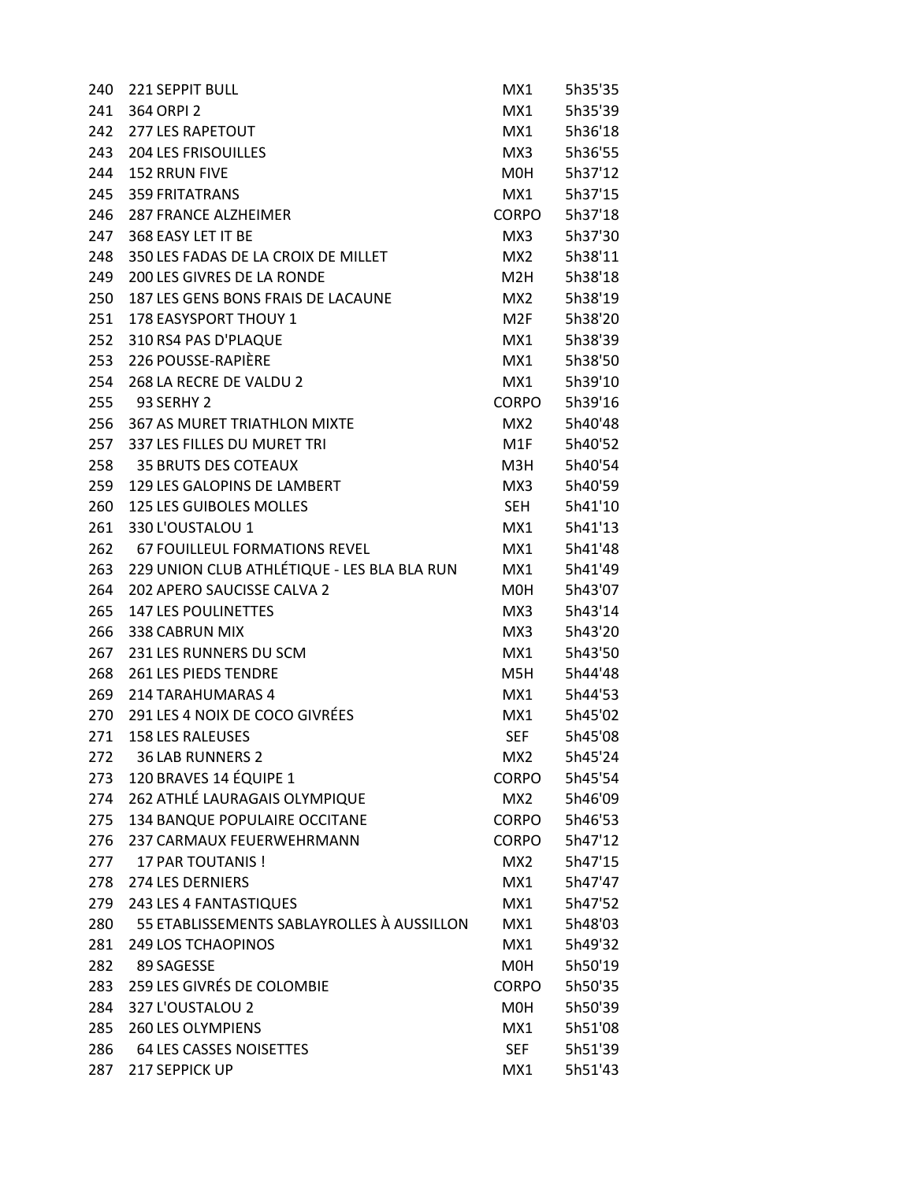| 240 | 221 SEPPIT BULL                             | MX1             | 5h35'35 |
|-----|---------------------------------------------|-----------------|---------|
| 241 | 364 ORPI 2                                  | MX1             | 5h35'39 |
| 242 | <b>277 LES RAPETOUT</b>                     | MX1             | 5h36'18 |
| 243 | <b>204 LES FRISOUILLES</b>                  | MX3             | 5h36'55 |
| 244 | <b>152 RRUN FIVE</b>                        | M0H             | 5h37'12 |
| 245 | <b>359 FRITATRANS</b>                       | MX1             | 5h37'15 |
| 246 | <b>287 FRANCE ALZHEIMER</b>                 | <b>CORPO</b>    | 5h37'18 |
| 247 | 368 FASY LET IT BE                          | MX3             | 5h37'30 |
| 248 | 350 LES FADAS DE LA CROIX DE MILLET         | MX2             | 5h38'11 |
| 249 | 200 LES GIVRES DE LA RONDE                  | M2H             | 5h38'18 |
| 250 | 187 LES GENS BONS FRAIS DE LACAUNE          | MX2             | 5h38'19 |
| 251 | 178 EASYSPORT THOUY 1                       | M2F             | 5h38'20 |
| 252 | 310 RS4 PAS D'PLAQUE                        | MX1             | 5h38'39 |
| 253 | 226 POUSSE-RAPIÈRE                          | MX1             | 5h38'50 |
| 254 | 268 LA RECRE DE VALDU 2                     | MX1             | 5h39'10 |
| 255 | 93 SERHY 2                                  | <b>CORPO</b>    | 5h39'16 |
| 256 | <b>367 AS MURET TRIATHLON MIXTE</b>         | MX <sub>2</sub> | 5h40'48 |
| 257 | 337 LES FILLES DU MURET TRI                 | M1F             | 5h40'52 |
| 258 | <b>35 BRUTS DES COTEAUX</b>                 | M3H             | 5h40'54 |
| 259 | 129 LES GALOPINS DE LAMBERT                 | MX3             | 5h40'59 |
| 260 | 125 LES GUIBOLES MOLLES                     | SEH             | 5h41'10 |
| 261 | 330 L'OUSTALOU 1                            | MX1             | 5h41'13 |
| 262 | 67 FOUILLEUL FORMATIONS REVEL               | MX1             | 5h41'48 |
| 263 | 229 UNION CLUB ATHLÉTIQUE - LES BLA BLA RUN | MX1             | 5h41'49 |
| 264 | 202 APERO SAUCISSE CALVA 2                  | M0H             | 5h43'07 |
| 265 | <b>147 LES POULINETTES</b>                  | MX3             | 5h43'14 |
| 266 | 338 CABRUN MIX                              | MX3             | 5h43'20 |
| 267 | 231 LES RUNNERS DU SCM                      | MX1             | 5h43'50 |
| 268 | <b>261 LES PIEDS TENDRE</b>                 | M5H             | 5h44'48 |
| 269 | 214 TARAHUMARAS 4                           | MX1             | 5h44'53 |
| 270 | 291 LES 4 NOIX DE COCO GIVRÉES              | MX1             | 5h45'02 |
| 271 | <b>158 LES RALEUSES</b>                     | <b>SEF</b>      | 5h45'08 |
| 272 | <b>36 LAB RUNNERS 2</b>                     | MX <sub>2</sub> | 5h45'24 |
| 273 | 120 BRAVES 14 ÉQUIPE 1                      | <b>CORPO</b>    | 5h45'54 |
| 274 | 262 ATHLÉ LAURAGAIS OLYMPIQUE               | MX2             | 5h46'09 |
| 275 | 134 BANQUE POPULAIRE OCCITANE               | <b>CORPO</b>    | 5h46'53 |
| 276 | <b>237 CARMAUX FEUERWEHRMANN</b>            | <b>CORPO</b>    | 5h47'12 |
| 277 | <b>17 PAR TOUTANIS!</b>                     | MX2             | 5h47'15 |
| 278 | 274 LES DERNIERS                            | MX1             | 5h47'47 |
| 279 | 243 LES 4 FANTASTIQUES                      | MX1             | 5h47'52 |
| 280 | 55 ETABLISSEMENTS SABLAYROLLES À AUSSILLON  | MX1             | 5h48'03 |
| 281 | <b>249 LOS TCHAOPINOS</b>                   | MX1             | 5h49'32 |
| 282 | 89 SAGESSE                                  | M0H             | 5h50'19 |
| 283 | 259 LES GIVRÉS DE COLOMBIE                  | <b>CORPO</b>    | 5h50'35 |
| 284 | 327 L'OUSTALOU 2                            | M0H             | 5h50'39 |
| 285 | 260 LES OLYMPIENS                           | MX1             | 5h51'08 |
| 286 | <b>64 LES CASSES NOISETTES</b>              | <b>SEF</b>      | 5h51'39 |
| 287 | 217 SEPPICK UP                              | MX1             | 5h51'43 |
|     |                                             |                 |         |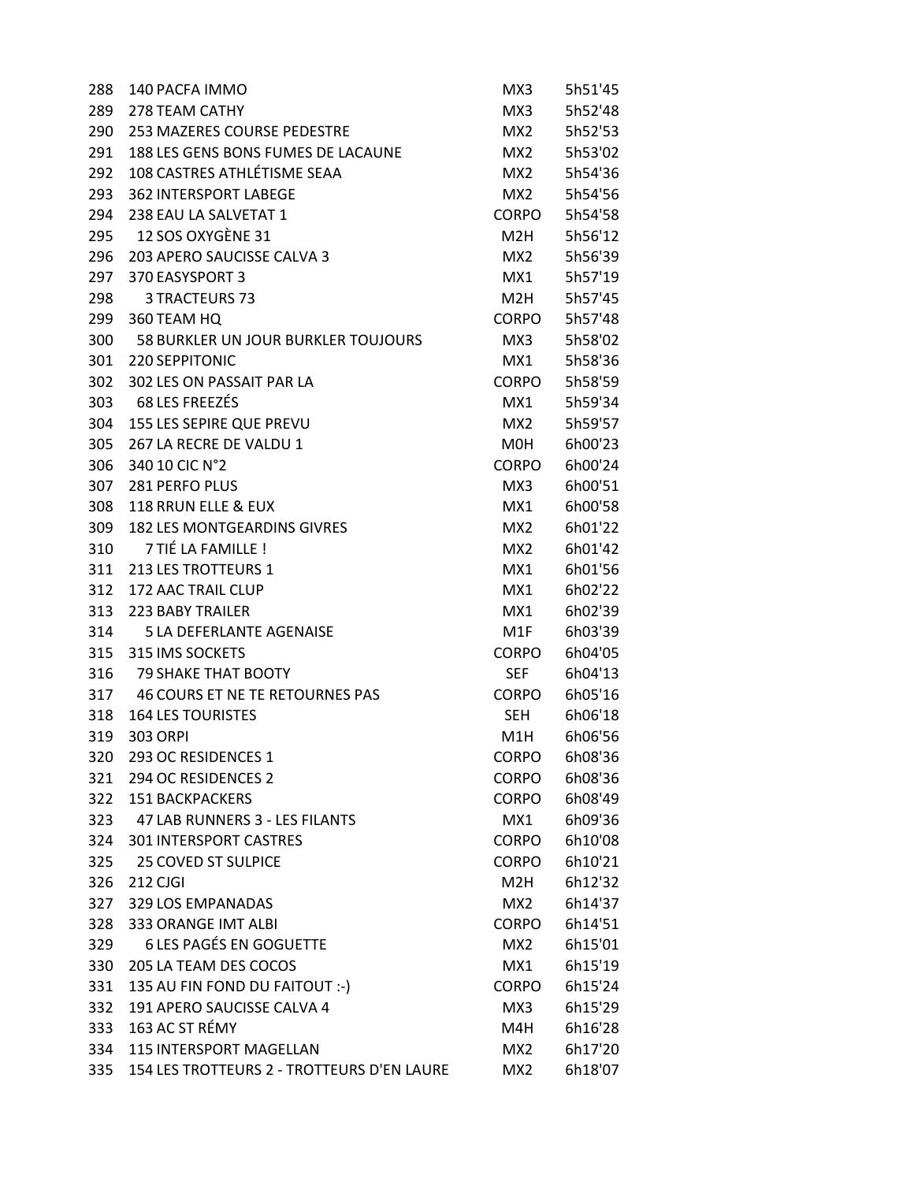| 288 | 140 PACFA IMMO                             | MX3              | 5h51'45 |
|-----|--------------------------------------------|------------------|---------|
| 289 | 278 TEAM CATHY                             | MX3              | 5h52'48 |
| 290 | 253 MAZERES COURSE PEDESTRE                | MX <sub>2</sub>  | 5h52'53 |
| 291 | 188 LES GENS BONS FUMES DE LACAUNE         | MX2              | 5h53'02 |
| 292 | 108 CASTRES ATHLÉTISME SEAA                | MX <sub>2</sub>  | 5h54'36 |
| 293 | <b>362 INTERSPORT LABEGE</b>               | MX <sub>2</sub>  | 5h54'56 |
| 294 | 238 EAU LA SALVETAT 1                      | <b>CORPO</b>     | 5h54'58 |
| 295 | 12 SOS OXYGÈNE 31                          | M <sub>2</sub> H | 5h56'12 |
| 296 | 203 APERO SAUCISSE CALVA 3                 | MX <sub>2</sub>  | 5h56'39 |
| 297 | 370 EASYSPORT 3                            | MX1              | 5h57'19 |
| 298 | 3 TRACTEURS 73                             | M <sub>2</sub> H | 5h57'45 |
| 299 | 360 TEAM HQ                                | <b>CORPO</b>     | 5h57'48 |
| 300 | 58 BURKLER UN JOUR BURKLER TOUJOURS        | MX3              | 5h58'02 |
| 301 | <b>220 SEPPITONIC</b>                      | MX1              | 5h58'36 |
| 302 | 302 LES ON PASSAIT PAR LA                  | <b>CORPO</b>     | 5h58'59 |
| 303 | 68 LES FREEZÉS                             | MX1              | 5h59'34 |
| 304 | 155 LES SEPIRE QUE PREVU                   | MX <sub>2</sub>  | 5h59'57 |
| 305 | 267 LA RECRE DE VALDU 1                    | M0H              | 6h00'23 |
| 306 | 340 10 CIC N°2                             | <b>CORPO</b>     | 6h00'24 |
| 307 | <b>281 PERFO PLUS</b>                      | MX3              | 6h00'51 |
| 308 | 118 RRUN ELLE & EUX                        | MX1              | 6h00'58 |
| 309 | <b>182 LES MONTGEARDINS GIVRES</b>         | MX <sub>2</sub>  | 6h01'22 |
| 310 | 7 TIÉ LA FAMILLE !                         | MX <sub>2</sub>  | 6h01'42 |
| 311 | 213 LES TROTTEURS 1                        | MX1              | 6h01'56 |
| 312 | 172 AAC TRAIL CLUP                         | MX1              | 6h02'22 |
| 313 | <b>223 BABY TRAILER</b>                    | MX1              | 6h02'39 |
| 314 | 5 LA DEFERLANTE AGENAISE                   | M1F              | 6h03'39 |
| 315 | 315 IMS SOCKETS                            | <b>CORPO</b>     | 6h04'05 |
| 316 | <b>79 SHAKE THAT BOOTY</b>                 | <b>SEF</b>       | 6h04'13 |
| 317 | <b>46 COURS ET NE TE RETOURNES PAS</b>     | CORPO            | 6h05'16 |
| 318 | <b>164 LES TOURISTES</b>                   | <b>SEH</b>       | 6h06'18 |
| 319 | <b>303 ORPI</b>                            | M1H              | 6h06'56 |
| 320 | 293 OC RESIDENCES 1                        | CORPO            | 6h08'36 |
| 321 | 294 OC RESIDENCES 2                        | <b>CORPO</b>     | 6h08'36 |
| 322 | <b>151 BACKPACKERS</b>                     | <b>CORPO</b>     | 6h08'49 |
| 323 | 47 LAB RUNNERS 3 - LES FILANTS             | MX1              | 6h09'36 |
| 324 | <b>301 INTERSPORT CASTRES</b>              | <b>CORPO</b>     | 6h10'08 |
| 325 | <b>25 COVED ST SULPICE</b>                 | <b>CORPO</b>     | 6h10'21 |
| 326 | 212 CJGI                                   | M2H              | 6h12'32 |
| 327 | 329 LOS EMPANADAS                          | MX2              | 6h14'37 |
| 328 | 333 ORANGE IMT ALBI                        | <b>CORPO</b>     | 6h14'51 |
| 329 | <b>6 LES PAGÉS EN GOGUETTE</b>             | MX <sub>2</sub>  | 6h15'01 |
| 330 | 205 LA TEAM DES COCOS                      | MX1              | 6h15'19 |
| 331 | 135 AU FIN FOND DU FAITOUT :-)             | <b>CORPO</b>     | 6h15'24 |
| 332 | 191 APERO SAUCISSE CALVA 4                 | MX3              | 6h15'29 |
| 333 | 163 AC ST RÉMY                             | M4H              | 6h16'28 |
| 334 | <b>115 INTERSPORT MAGELLAN</b>             | MX2              | 6h17'20 |
| 335 | 154 LES TROTTEURS 2 - TROTTEURS D'EN LAURE | MX <sub>2</sub>  | 6h18'07 |
|     |                                            |                  |         |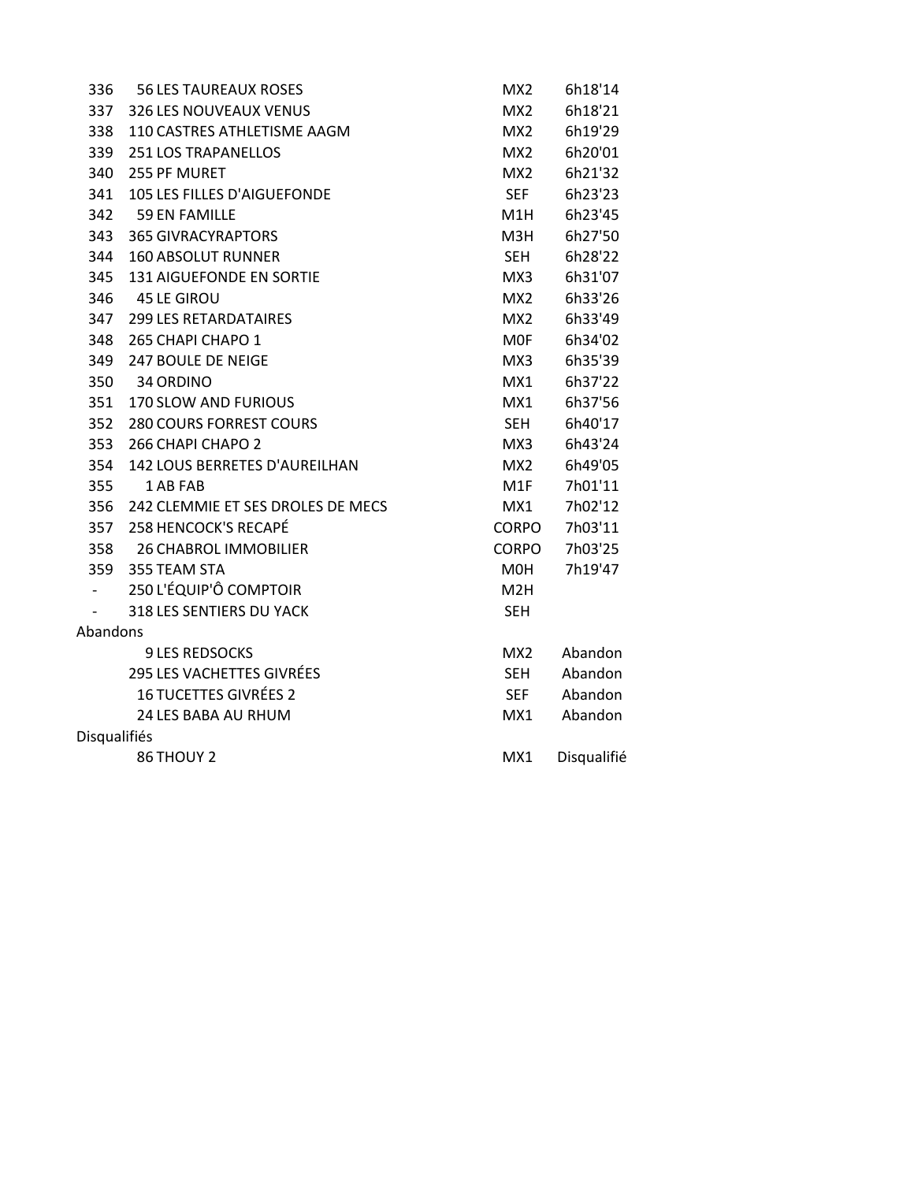| 336                 | <b>56 LES TAUREAUX ROSES</b>          | MX <sub>2</sub>  | 6h18'14     |  |
|---------------------|---------------------------------------|------------------|-------------|--|
| 337                 | 326 LES NOUVEAUX VENUS                | MX2              | 6h18'21     |  |
| 338                 | 110 CASTRES ATHLETISME AAGM           | MX2              | 6h19'29     |  |
| 339                 | 251 LOS TRAPANELLOS                   | MX2              | 6h20'01     |  |
| 340                 | 255 PF MURET                          | MX2              | 6h21'32     |  |
| 341                 | 105 LES FILLES D'AIGUEFONDE           | <b>SEF</b>       | 6h23'23     |  |
|                     | 342 59 EN FAMILLE                     | M1H              | 6h23'45     |  |
| 343                 | <b>365 GIVRACYRAPTORS</b>             | M3H              | 6h27'50     |  |
| 344                 | <b>160 ABSOLUT RUNNER</b>             | <b>SEH</b>       | 6h28'22     |  |
| 345                 | 131 AIGUEFONDE EN SORTIE              | MX3              | 6h31'07     |  |
|                     | 346 45 LE GIROU                       | MX2              | 6h33'26     |  |
|                     | 347 299 LES RETARDATAIRES             | MX2              | 6h33'49     |  |
| 348                 | 265 CHAPI CHAPO 1                     | <b>MOF</b>       | 6h34'02     |  |
| 349                 | 247 BOULE DE NEIGE                    | MX3              | 6h35'39     |  |
|                     | 350 34 ORDINO                         | MX1              | 6h37'22     |  |
| 351                 | 170 SLOW AND FURIOUS                  | MX1              | 6h37'56     |  |
| 352                 | <b>280 COURS FORREST COURS</b>        | <b>SEH</b>       | 6h40'17     |  |
| 353                 | 266 CHAPI CHAPO 2                     | MX3              | 6h43'24     |  |
| 354                 | 142 LOUS BERRETES D'AUREILHAN         | MX2              | 6h49'05     |  |
| 355                 | 1 AB FAB                              | M1F              | 7h01'11     |  |
|                     | 356 242 CLEMMIE ET SES DROLES DE MECS | MX1              | 7h02'12     |  |
|                     | 357 258 HENCOCK'S RECAPÉ              | CORPO            | 7h03'11     |  |
|                     | 358 26 CHABROL IMMOBILIER             | CORPO            | 7h03'25     |  |
|                     | 359 355 TEAM STA                      | M0H              | 7h19'47     |  |
|                     | 250 L'ÉQUIP'Ô COMPTOIR                | M <sub>2</sub> H |             |  |
|                     | 318 LES SENTIERS DU YACK              | <b>SEH</b>       |             |  |
| Abandons            |                                       |                  |             |  |
|                     | <b>9 LES REDSOCKS</b>                 | MX2              | Abandon     |  |
|                     | 295 LES VACHETTES GIVRÉES             | <b>SEH</b>       | Abandon     |  |
|                     | <b>16 TUCETTES GIVRÉES 2</b>          | <b>SEF</b>       | Abandon     |  |
|                     | 24 LES BABA AU RHUM                   | MX1              | Abandon     |  |
| <b>Disqualifiés</b> |                                       |                  |             |  |
|                     | 86 THOUY 2                            | MX1              | Disqualifié |  |
|                     |                                       |                  |             |  |